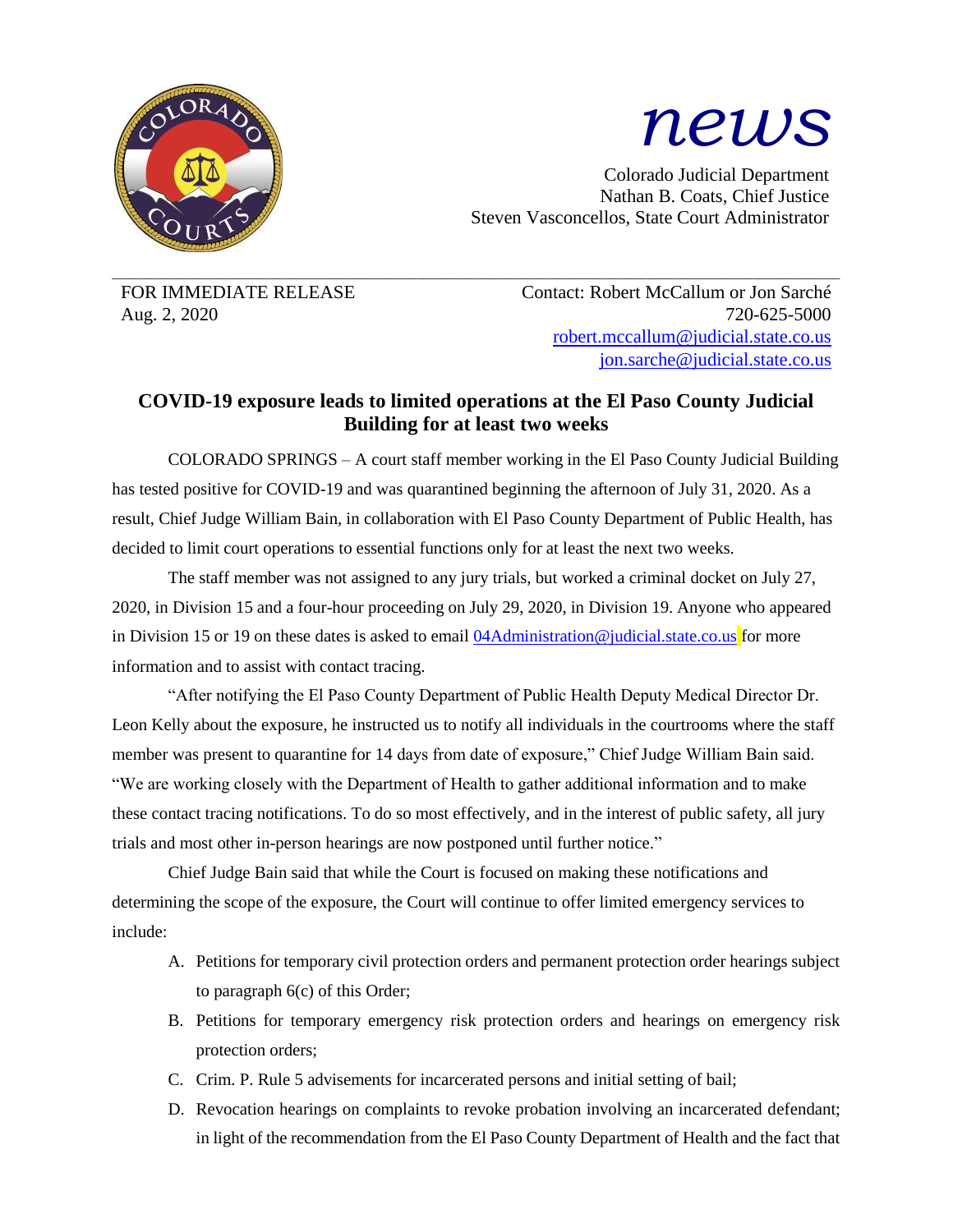

## *news*

Colorado Judicial Department Nathan B. Coats, Chief Justice Steven Vasconcellos, State Court Administrator

 $\_$  , and the state of the state of the state of the state of the state of the state of the state of the state of the state of the state of the state of the state of the state of the state of the state of the state of the

FOR IMMEDIATE RELEASE Contact: Robert McCallum or Jon Sarché Aug. 2, 2020 720-625-5000 [robert.mccallum@judicial.state.co.us](mailto:robert.mccallum@judicial.state.co.us) [jon.sarche@judicial.state.co.us](mailto:jon.sarche@judicial.state.co.us)

## **COVID-19 exposure leads to limited operations at the El Paso County Judicial Building for at least two weeks**

COLORADO SPRINGS – A court staff member working in the El Paso County Judicial Building has tested positive for COVID-19 and was quarantined beginning the afternoon of July 31, 2020. As a result, Chief Judge William Bain, in collaboration with El Paso County Department of Public Health, has decided to limit court operations to essential functions only for at least the next two weeks.

The staff member was not assigned to any jury trials, but worked a criminal docket on July 27, 2020, in Division 15 and a four-hour proceeding on July 29, 2020, in Division 19. Anyone who appeared in Division 15 or 19 on these dates is asked to email  $04$ Administration@judicial.state.co.us for more information and to assist with contact tracing.

"After notifying the El Paso County Department of Public Health Deputy Medical Director Dr. Leon Kelly about the exposure, he instructed us to notify all individuals in the courtrooms where the staff member was present to quarantine for 14 days from date of exposure," Chief Judge William Bain said. "We are working closely with the Department of Health to gather additional information and to make these contact tracing notifications. To do so most effectively, and in the interest of public safety, all jury trials and most other in-person hearings are now postponed until further notice."

Chief Judge Bain said that while the Court is focused on making these notifications and determining the scope of the exposure, the Court will continue to offer limited emergency services to include:

- A. Petitions for temporary civil protection orders and permanent protection order hearings subject to paragraph 6(c) of this Order;
- B. Petitions for temporary emergency risk protection orders and hearings on emergency risk protection orders;
- C. Crim. P. Rule 5 advisements for incarcerated persons and initial setting of bail;
- D. Revocation hearings on complaints to revoke probation involving an incarcerated defendant; in light of the recommendation from the El Paso County Department of Health and the fact that